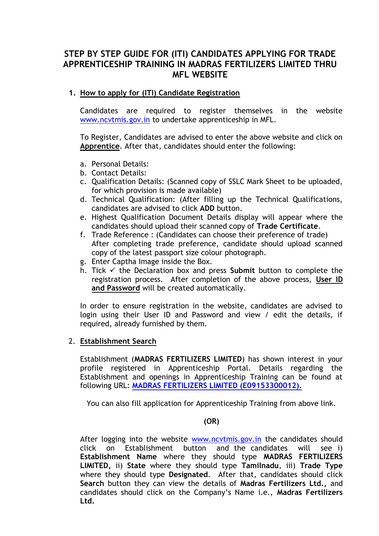## **STEP BY STEP GUIDE FOR (ITI) CANDIDATES APPLYING FOR TRADE APPRENTICESHIP TRAINING IN MADRAS FERTILIZERS LIMITED THRU MFL WEBSITE**

## **1. How to apply for (ITI) Candidate Registration**

Candidates are required to register themselves in the website [www.ncvtmis.gov.in](http://www.ncvtmis.gov.in/) to undertake apprenticeship in MFL.

To Register, Candidates are advised to enter the above website and click on **Apprentice**. After that, candidates should enter the following:

- a. Personal Details:
- b. Contact Details:
- c. Qualification Details: (Scanned copy of SSLC Mark Sheet to be uploaded, for which provision is made available)
- d. Technical Qualification: (After filling up the Technical Qualifications, candidates are advised to click **ADD** button.
- e. Highest Qualification Document Details display will appear where the candidates should upload their scanned copy of **Trade Certificate**.
- f. Trade Reference : (Candidates can choose their preference of trade) After completing trade preference, candidate should upload scanned copy of the latest passport size colour photograph.
- g. Enter Captha Image inside the Box.
- h. Tick  $\checkmark$  the Declaration box and press **Submit** button to complete the registration process. After completion of the above process, **User ID and Password** will be created automatically.

In order to ensure registration in the website, candidates are advised to login using their User ID and Password and view / edit the details, if required, already furnished by them.

## 2. **Establishment Search**

Establishment (**MADRAS FERTILIZERS LIMITED**) has shown interest in your profile registered in Apprenticeship Portal. Details regarding the Establishment and openings in Apprenticeship Training can be found at following URL: **[MADRAS FERTILIZERS LIMITED \(E09153300012\).](http://apprenticeship.gov.in/Pages/Apprenticeship/ViewEstablishment.aspx?RegNo=E09153300012)**

You can also fill application for Apprenticeship Training from above link.

## **(OR)**

After logging into the website [www.ncvtmis.gov.in](http://www.ncvtmis.gov.in/) the candidates should click on Establishment button and the candidates will see i) **Establishment Name** where they should type **MADRAS FERTILIZERS LIMITED,** ii) **State** where they should type **Tamilnadu**, iii) **Trade Type** where they should type **Designated**. After that, candidates should click **Search** button they can view the details of **Madras Fertilizers Ltd.,** and candidates should click on the Company's Name i.e., **Madras Fertilizers Ltd.**